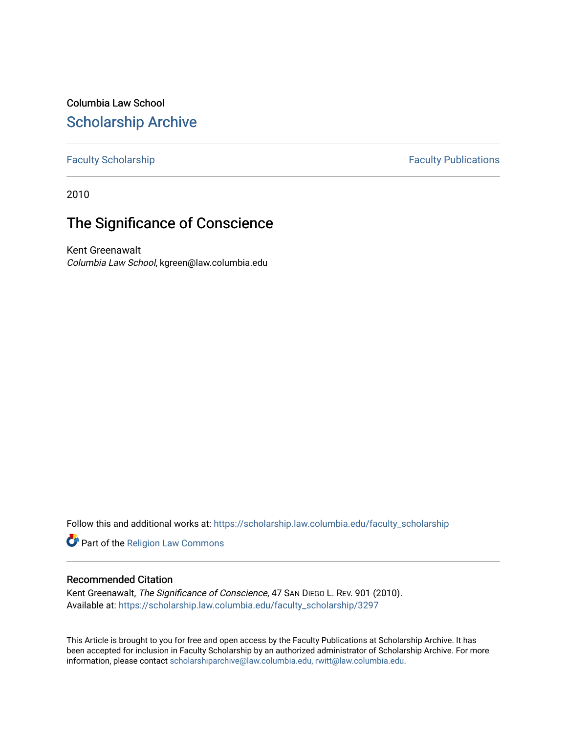Columbia Law School [Scholarship Archive](https://scholarship.law.columbia.edu/) 

# [Faculty Scholarship](https://scholarship.law.columbia.edu/faculty_scholarship) **Faculty Publications**

2010

# The Significance of Conscience

Kent Greenawalt Columbia Law School, kgreen@law.columbia.edu

Follow this and additional works at: [https://scholarship.law.columbia.edu/faculty\\_scholarship](https://scholarship.law.columbia.edu/faculty_scholarship?utm_source=scholarship.law.columbia.edu%2Ffaculty_scholarship%2F3297&utm_medium=PDF&utm_campaign=PDFCoverPages)

Part of the [Religion Law Commons](http://network.bepress.com/hgg/discipline/872?utm_source=scholarship.law.columbia.edu%2Ffaculty_scholarship%2F3297&utm_medium=PDF&utm_campaign=PDFCoverPages)

## Recommended Citation

Kent Greenawalt, The Significance of Conscience, 47 SAN DIEGO L. REV. 901 (2010). Available at: [https://scholarship.law.columbia.edu/faculty\\_scholarship/3297](https://scholarship.law.columbia.edu/faculty_scholarship/3297?utm_source=scholarship.law.columbia.edu%2Ffaculty_scholarship%2F3297&utm_medium=PDF&utm_campaign=PDFCoverPages)

This Article is brought to you for free and open access by the Faculty Publications at Scholarship Archive. It has been accepted for inclusion in Faculty Scholarship by an authorized administrator of Scholarship Archive. For more information, please contact [scholarshiparchive@law.columbia.edu, rwitt@law.columbia.edu](mailto:scholarshiparchive@law.columbia.edu,%20rwitt@law.columbia.edu).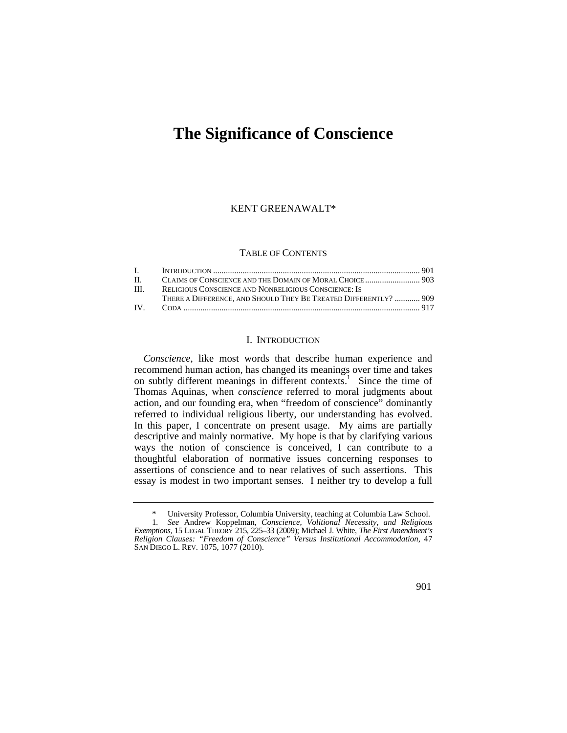# **The Significance of Conscience**

### KENT GREENAWALT\*

#### TABLE OF CONTENTS

| $\Pi$ . |                                                                  |  |
|---------|------------------------------------------------------------------|--|
| HI.     | RELIGIOUS CONSCIENCE AND NONRELIGIOUS CONSCIENCE: IS             |  |
|         | THERE A DIFFERENCE, AND SHOULD THEY BE TREATED DIFFERENTLY?  909 |  |
|         |                                                                  |  |

### I. INTRODUCTION

*Conscience*, like most words that describe human experience and recommend human action, has changed its meanings over time and takes on subtly different meanings in different contexts.<sup>1</sup> Since the time of Thomas Aquinas, when *conscience* referred to moral judgments about action, and our founding era, when "freedom of conscience" dominantly referred to individual religious liberty, our understanding has evolved. In this paper, I concentrate on present usage. My aims are partially descriptive and mainly normative. My hope is that by clarifying various ways the notion of conscience is conceived, I can contribute to a thoughtful elaboration of normative issues concerning responses to assertions of conscience and to near relatives of such assertions. This essay is modest in two important senses. I neither try to develop a full

<sup>\*</sup> University Professor, Columbia University, teaching at Columbia Law School. 1*. See* Andrew Koppelman, *Conscience, Volitional Necessity, and Religious Exemptions*, 15 LEGAL THEORY 215, 225–33 (2009); Michael J. White, *The First Amendment's Religion Clauses: "Freedom of Conscience" Versus Institutional Accommodation*, 47 SAN DIEGO L. REV. 1075, 1077 (2010).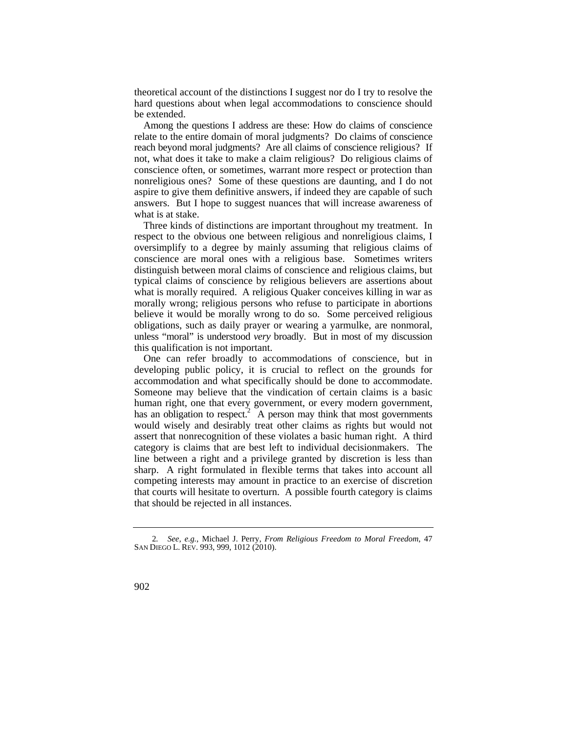theoretical account of the distinctions I suggest nor do I try to resolve the hard questions about when legal accommodations to conscience should be extended.

 relate to the entire domain of moral judgments? Do claims of conscience reach beyond moral judgments? Are all claims of conscience religious? If Among the questions I address are these: How do claims of conscience not, what does it take to make a claim religious? Do religious claims of conscience often, or sometimes, warrant more respect or protection than nonreligious ones? Some of these questions are daunting, and I do not aspire to give them definitive answers, if indeed they are capable of such answers. But I hope to suggest nuances that will increase awareness of what is at stake.

 oversimplify to a degree by mainly assuming that religious claims of Three kinds of distinctions are important throughout my treatment. In respect to the obvious one between religious and nonreligious claims, I conscience are moral ones with a religious base. Sometimes writers distinguish between moral claims of conscience and religious claims, but typical claims of conscience by religious believers are assertions about what is morally required. A religious Quaker conceives killing in war as morally wrong; religious persons who refuse to participate in abortions believe it would be morally wrong to do so. Some perceived religious obligations, such as daily prayer or wearing a yarmulke, are nonmoral, unless "moral" is understood *very* broadly. But in most of my discussion this qualification is not important.

One can refer broadly to accommodations of conscience, but in developing public policy, it is crucial to reflect on the grounds for accommodation and what specifically should be done to accommodate. Someone may believe that the vindication of certain claims is a basic human right, one that every government, or every modern government, has an obligation to respect.<sup>2</sup> A person may think that most governments would wisely and desirably treat other claims as rights but would not assert that nonrecognition of these violates a basic human right. A third category is claims that are best left to individual decisionmakers. The line between a right and a privilege granted by discretion is less than sharp. A right formulated in flexible terms that takes into account all competing interests may amount in practice to an exercise of discretion that courts will hesitate to overturn. A possible fourth category is claims that should be rejected in all instances.

<sup>2</sup>*. See, e.g.*, Michael J. Perry, *From Religious Freedom to Moral Freedom*, 47 SAN DIEGO L. REV. 993, 999, 1012 (2010).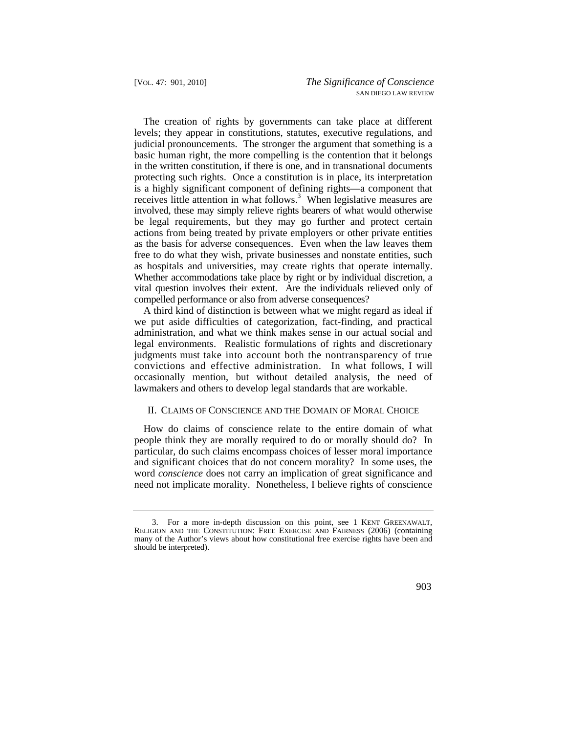as hospitals and universities, may create rights that operate internally. vital question involves their extent. Are the individuals relieved only of The creation of rights by governments can take place at different levels; they appear in constitutions, statutes, executive regulations, and judicial pronouncements. The stronger the argument that something is a basic human right, the more compelling is the contention that it belongs in the written constitution, if there is one, and in transnational documents protecting such rights. Once a constitution is in place, its interpretation is a highly significant component of defining rights—a component that receives little attention in what follows.<sup>3</sup> When legislative measures are involved, these may simply relieve rights bearers of what would otherwise be legal requirements, but they may go further and protect certain actions from being treated by private employers or other private entities as the basis for adverse consequences. Even when the law leaves them free to do what they wish, private businesses and nonstate entities, such Whether accommodations take place by right or by individual discretion, a compelled performance or also from adverse consequences?

 judgments must take into account both the nontransparency of true A third kind of distinction is between what we might regard as ideal if we put aside difficulties of categorization, fact-finding, and practical administration, and what we think makes sense in our actual social and legal environments. Realistic formulations of rights and discretionary convictions and effective administration. In what follows, I will occasionally mention, but without detailed analysis, the need of lawmakers and others to develop legal standards that are workable.

## II. CLAIMS OF CONSCIENCE AND THE DOMAIN OF MORAL CHOICE

How do claims of conscience relate to the entire domain of what people think they are morally required to do or morally should do? In particular, do such claims encompass choices of lesser moral importance and significant choices that do not concern morality? In some uses, the word *conscience* does not carry an implication of great significance and need not implicate morality. Nonetheless, I believe rights of conscience

<sup>3.</sup> For a more in-depth discussion on this point, see 1 KENT GREENAWALT, RELIGION AND THE CONSTITUTION: FREE EXERCISE AND FAIRNESS (2006) (containing many of the Author's views about how constitutional free exercise rights have been and should be interpreted).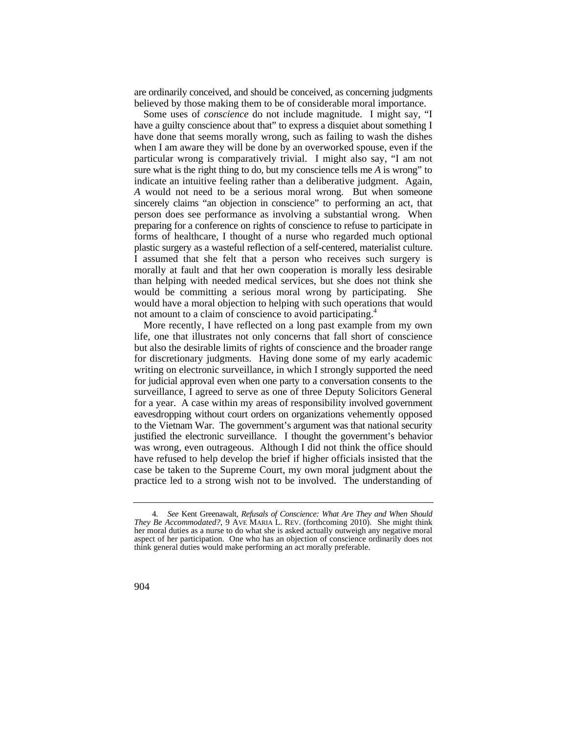are ordinarily conceived, and should be conceived, as concerning judgments believed by those making them to be of considerable moral importance.

 *A* would not need to be a serious moral wrong. But when someone sincerely claims "an objection in conscience" to performing an act, that preparing for a conference on rights of conscience to refuse to participate in plastic surgery as a wasteful reflection of a self-centered, materialist culture. Some uses of *conscience* do not include magnitude. I might say, "I have a guilty conscience about that" to express a disquiet about something I have done that seems morally wrong, such as failing to wash the dishes when I am aware they will be done by an overworked spouse, even if the particular wrong is comparatively trivial. I might also say, "I am not sure what is the right thing to do, but my conscience tells me *A* is wrong" to indicate an intuitive feeling rather than a deliberative judgment. Again, person does see performance as involving a substantial wrong. When forms of healthcare, I thought of a nurse who regarded much optional I assumed that she felt that a person who receives such surgery is morally at fault and that her own cooperation is morally less desirable than helping with needed medical services, but she does not think she would be committing a serious moral wrong by participating. She would have a moral objection to helping with such operations that would not amount to a claim of conscience to avoid participating.<sup>4</sup>

 for judicial approval even when one party to a conversation consents to the for a year. A case within my areas of responsibility involved government eavesdropping without court orders on organizations vehemently opposed More recently, I have reflected on a long past example from my own life, one that illustrates not only concerns that fall short of conscience but also the desirable limits of rights of conscience and the broader range for discretionary judgments. Having done some of my early academic writing on electronic surveillance, in which I strongly supported the need surveillance, I agreed to serve as one of three Deputy Solicitors General to the Vietnam War. The government's argument was that national security justified the electronic surveillance. I thought the government's behavior was wrong, even outrageous. Although I did not think the office should have refused to help develop the brief if higher officials insisted that the case be taken to the Supreme Court, my own moral judgment about the practice led to a strong wish not to be involved. The understanding of

 *They Be Accommodated?*, 9 AVE MARIA L. REV. (forthcoming 2010). She might think 4*. See* Kent Greenawalt, *Refusals of Conscience: What Are They and When Should*  her moral duties as a nurse to do what she is asked actually outweigh any negative moral aspect of her participation. One who has an objection of conscience ordinarily does not think general duties would make performing an act morally preferable.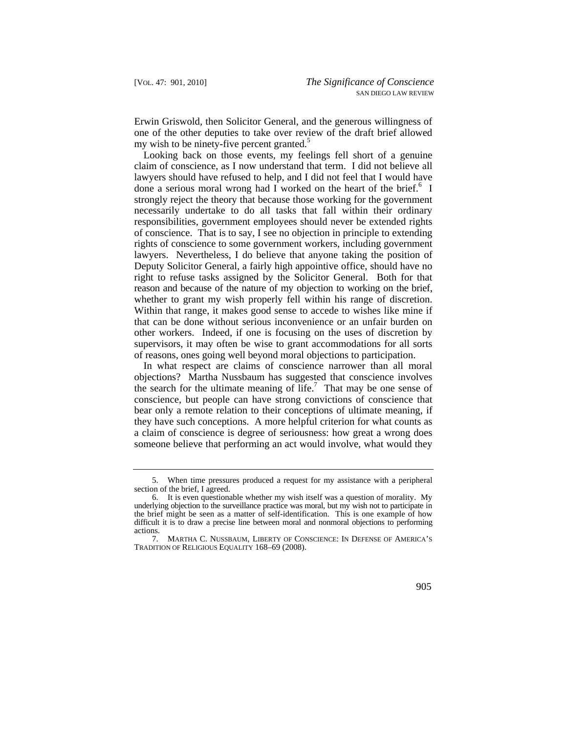Erwin Griswold, then Solicitor General, and the generous willingness of one of the other deputies to take over review of the draft brief allowed my wish to be ninety-five percent granted.<sup>5</sup>

 whether to grant my wish properly fell within his range of discretion. Within that range, it makes good sense to accede to wishes like mine if done a serious moral wrong had  $\overline{I}$  worked on the heart of the brief.<sup>6</sup> I Looking back on those events, my feelings fell short of a genuine claim of conscience, as I now understand that term. I did not believe all lawyers should have refused to help, and I did not feel that I would have strongly reject the theory that because those working for the government necessarily undertake to do all tasks that fall within their ordinary responsibilities, government employees should never be extended rights of conscience. That is to say, I see no objection in principle to extending rights of conscience to some government workers, including government lawyers. Nevertheless, I do believe that anyone taking the position of Deputy Solicitor General, a fairly high appointive office, should have no right to refuse tasks assigned by the Solicitor General. Both for that reason and because of the nature of my objection to working on the brief, that can be done without serious inconvenience or an unfair burden on other workers. Indeed, if one is focusing on the uses of discretion by supervisors, it may often be wise to grant accommodations for all sorts of reasons, ones going well beyond moral objections to participation.

 In what respect are claims of conscience narrower than all moral objections? Martha Nussbaum has suggested that conscience involves the search for the ultimate meaning of life.<sup>7</sup> That may be one sense of conscience, but people can have strong convictions of conscience that bear only a remote relation to their conceptions of ultimate meaning, if they have such conceptions. A more helpful criterion for what counts as a claim of conscience is degree of seriousness: how great a wrong does someone believe that performing an act would involve, what would they

<sup>5.</sup> When time pressures produced a request for my assistance with a peripheral section of the brief, I agreed.

 underlying objection to the surveillance practice was moral, but my wish not to participate in 6. It is even questionable whether my wish itself was a question of morality. My the brief might be seen as a matter of self-identification. This is one example of how difficult it is to draw a precise line between moral and nonmoral objections to performing actions.

 <sup>7.</sup> MARTHA C. NUSSBAUM, LIBERTY OF CONSCIENCE: IN DEFENSE OF AMERICA'S TRADITION OF RELIGIOUS EQUALITY 168–69 (2008).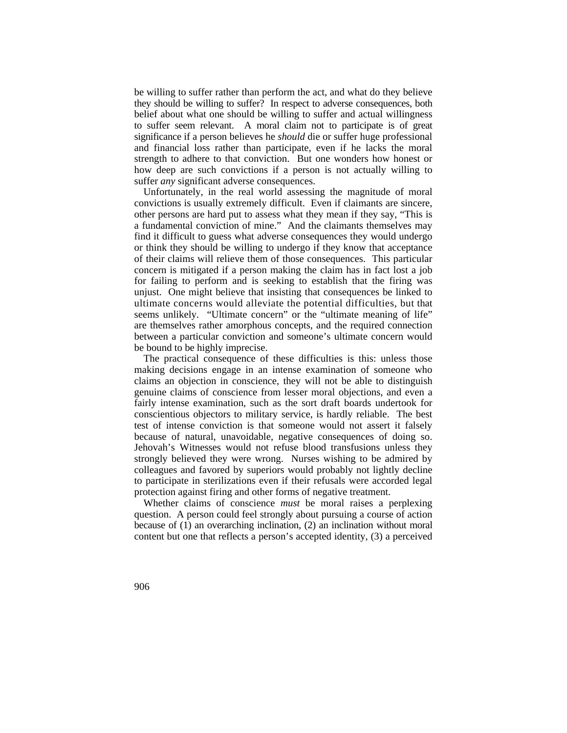be willing to suffer rather than perform the act, and what do they believe they should be willing to suffer? In respect to adverse consequences, both belief about what one should be willing to suffer and actual willingness to suffer seem relevant. A moral claim not to participate is of great significance if a person believes he *should* die or suffer huge professional and financial loss rather than participate, even if he lacks the moral strength to adhere to that conviction. But one wonders how honest or how deep are such convictions if a person is not actually willing to suffer *any* significant adverse consequences.

Unfortunately, in the real world assessing the magnitude of moral convictions is usually extremely difficult. Even if claimants are sincere, other persons are hard put to assess what they mean if they say, "This is a fundamental conviction of mine." And the claimants themselves may find it difficult to guess what adverse consequences they would undergo or think they should be willing to undergo if they know that acceptance of their claims will relieve them of those consequences. This particular concern is mitigated if a person making the claim has in fact lost a job for failing to perform and is seeking to establish that the firing was unjust. One might believe that insisting that consequences be linked to ultimate concerns would alleviate the potential difficulties, but that seems unlikely. "Ultimate concern" or the "ultimate meaning of life" are themselves rather amorphous concepts, and the required connection between a particular conviction and someone's ultimate concern would be bound to be highly imprecise.

The practical consequence of these difficulties is this: unless those making decisions engage in an intense examination of someone who claims an objection in conscience, they will not be able to distinguish genuine claims of conscience from lesser moral objections, and even a fairly intense examination, such as the sort draft boards undertook for conscientious objectors to military service, is hardly reliable. The best test of intense conviction is that someone would not assert it falsely because of natural, unavoidable, negative consequences of doing so. Jehovah's Witnesses would not refuse blood transfusions unless they strongly believed they were wrong. Nurses wishing to be admired by colleagues and favored by superiors would probably not lightly decline to participate in sterilizations even if their refusals were accorded legal protection against firing and other forms of negative treatment.

Whether claims of conscience *must* be moral raises a perplexing question. A person could feel strongly about pursuing a course of action because of (1) an overarching inclination, (2) an inclination without moral content but one that reflects a person's accepted identity, (3) a perceived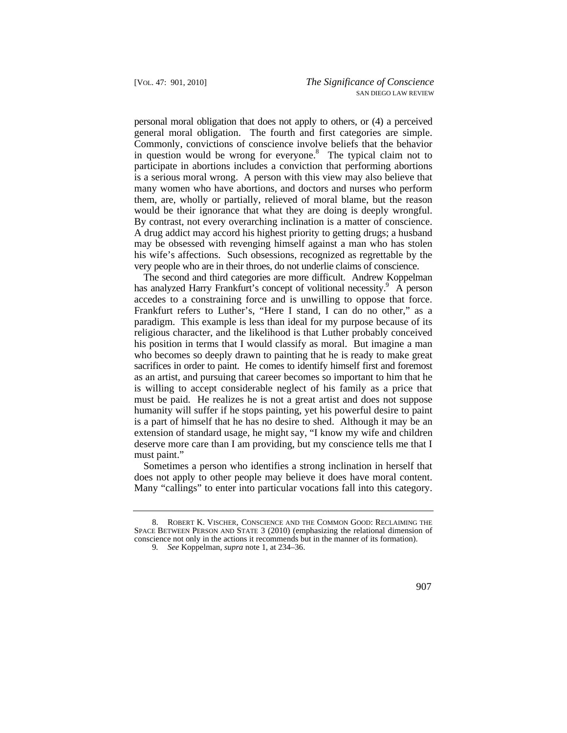general moral obligation. The fourth and first categories are simple. Commonly, convictions of conscience involve beliefs that the behavior By contrast, not every overarching inclination is a matter of conscience. very people who are in their throes, do not underlie claims of conscience. personal moral obligation that does not apply to others, or (4) a perceived in question would be wrong for everyone.<sup>8</sup> The typical claim not to participate in abortions includes a conviction that performing abortions is a serious moral wrong. A person with this view may also believe that many women who have abortions, and doctors and nurses who perform them, are, wholly or partially, relieved of moral blame, but the reason would be their ignorance that what they are doing is deeply wrongful. A drug addict may accord his highest priority to getting drugs; a husband may be obsessed with revenging himself against a man who has stolen his wife's affections. Such obsessions, recognized as regrettable by the

 accedes to a constraining force and is unwilling to oppose that force. Frankfurt refers to Luther's, "Here I stand, I can do no other," as a deserve more care than I am providing, but my conscience tells me that I The second and third categories are more difficult. Andrew Koppelman has analyzed Harry Frankfurt's concept of volitional necessity.<sup>9</sup> A person paradigm. This example is less than ideal for my purpose because of its religious character, and the likelihood is that Luther probably conceived his position in terms that I would classify as moral. But imagine a man who becomes so deeply drawn to painting that he is ready to make great sacrifices in order to paint. He comes to identify himself first and foremost as an artist, and pursuing that career becomes so important to him that he is willing to accept considerable neglect of his family as a price that must be paid. He realizes he is not a great artist and does not suppose humanity will suffer if he stops painting, yet his powerful desire to paint is a part of himself that he has no desire to shed. Although it may be an extension of standard usage, he might say, "I know my wife and children must paint."

Many "callings" to enter into particular vocations fall into this category.<br>
8. ROBERT K. VISCHER, CONSCIENCE AND THE COMMON GOOD: RECLAIMING THE Sometimes a person who identifies a strong inclination in herself that does not apply to other people may believe it does have moral content.

SPACE BETWEEN PERSON AND STATE 3 (2010) (emphasizing the relational dimension of conscience not only in the actions it recommends but in the manner of its formation).

<sup>9</sup>*. See* Koppelman, *supra* note 1, at 234–36.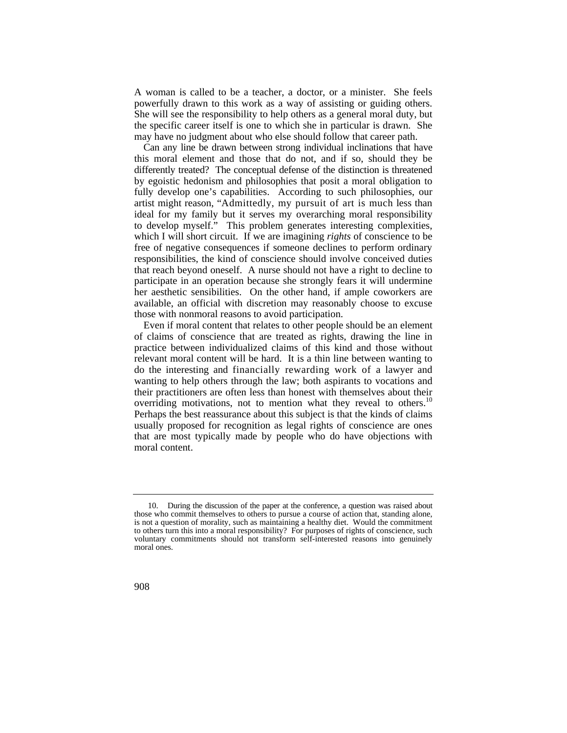powerfully drawn to this work as a way of assisting or guiding others. She will see the responsibility to help others as a general moral duty, but A woman is called to be a teacher, a doctor, or a minister. She feels the specific career itself is one to which she in particular is drawn. She may have no judgment about who else should follow that career path.

 artist might reason, "Admittedly, my pursuit of art is much less than ideal for my family but it serves my overarching moral responsibility Can any line be drawn between strong individual inclinations that have this moral element and those that do not, and if so, should they be differently treated? The conceptual defense of the distinction is threatened by egoistic hedonism and philosophies that posit a moral obligation to fully develop one's capabilities. According to such philosophies, our to develop myself." This problem generates interesting complexities, which I will short circuit. If we are imagining *rights* of conscience to be free of negative consequences if someone declines to perform ordinary responsibilities, the kind of conscience should involve conceived duties that reach beyond oneself. A nurse should not have a right to decline to participate in an operation because she strongly fears it will undermine her aesthetic sensibilities. On the other hand, if ample coworkers are available, an official with discretion may reasonably choose to excuse those with nonmoral reasons to avoid participation.

 do the interesting and financially rewarding work of a lawyer and overriding motivations, not to mention what they reveal to others.<sup>10</sup> Even if moral content that relates to other people should be an element of claims of conscience that are treated as rights, drawing the line in practice between individualized claims of this kind and those without relevant moral content will be hard. It is a thin line between wanting to wanting to help others through the law; both aspirants to vocations and their practitioners are often less than honest with themselves about their Perhaps the best reassurance about this subject is that the kinds of claims usually proposed for recognition as legal rights of conscience are ones that are most typically made by people who do have objections with moral content.

<sup>10.</sup> During the discussion of the paper at the conference, a question was raised about those who commit themselves to others to pursue a course of action that, standing alone, is not a question of morality, such as maintaining a healthy diet. Would the commitment to others turn this into a moral responsibility? For purposes of rights of conscience, such voluntary commitments should not transform self-interested reasons into genuinely moral ones.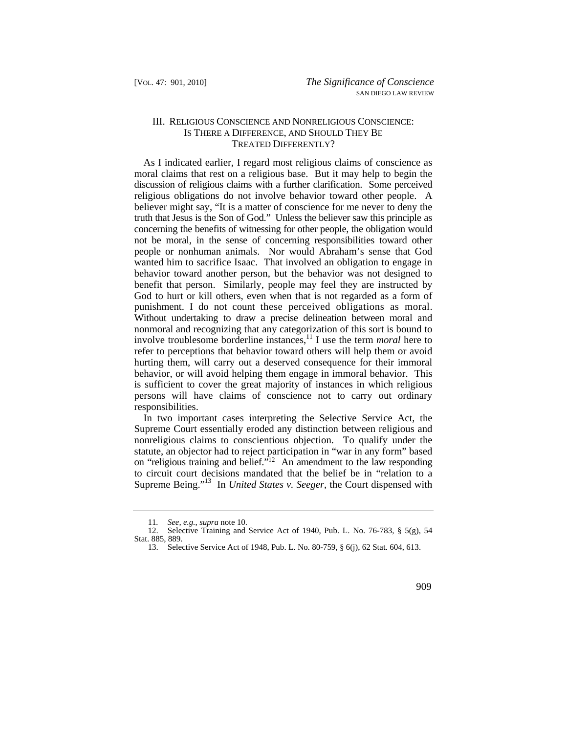# III. RELIGIOUS CONSCIENCE AND NONRELIGIOUS CONSCIENCE: IS THERE A DIFFERENCE, AND SHOULD THEY BE TREATED DIFFERENTLY?

 punishment. I do not count these perceived obligations as moral. As I indicated earlier, I regard most religious claims of conscience as moral claims that rest on a religious base. But it may help to begin the discussion of religious claims with a further clarification. Some perceived religious obligations do not involve behavior toward other people. A believer might say, "It is a matter of conscience for me never to deny the truth that Jesus is the Son of God." Unless the believer saw this principle as concerning the benefits of witnessing for other people, the obligation would not be moral, in the sense of concerning responsibilities toward other people or nonhuman animals. Nor would Abraham's sense that God wanted him to sacrifice Isaac. That involved an obligation to engage in behavior toward another person, but the behavior was not designed to benefit that person. Similarly, people may feel they are instructed by God to hurt or kill others, even when that is not regarded as a form of Without undertaking to draw a precise delineation between moral and nonmoral and recognizing that any categorization of this sort is bound to involve troublesome borderline instances,<sup>11</sup> I use the term *moral* here to refer to perceptions that behavior toward others will help them or avoid hurting them, will carry out a deserved consequence for their immoral behavior, or will avoid helping them engage in immoral behavior. This is sufficient to cover the great majority of instances in which religious persons will have claims of conscience not to carry out ordinary responsibilities.

 Supreme Court essentially eroded any distinction between religious and statute, an objector had to reject participation in "war in any form" based In two important cases interpreting the Selective Service Act, the nonreligious claims to conscientious objection. To qualify under the on "religious training and belief."12 An amendment to the law responding to circuit court decisions mandated that the belief be in "relation to a Supreme Being."13 In *United States v. Seeger*, the Court dispensed with

<sup>11</sup>*. See, e.g.*, *supra* note 10.

<sup>12.</sup> Selective Training and Service Act of 1940, Pub. L. No. 76-783, § 5(g), 54 Stat. 885, 889.

<sup>13.</sup> Selective Service Act of 1948, Pub. L. No. 80-759, § 6(j), 62 Stat. 604, 613.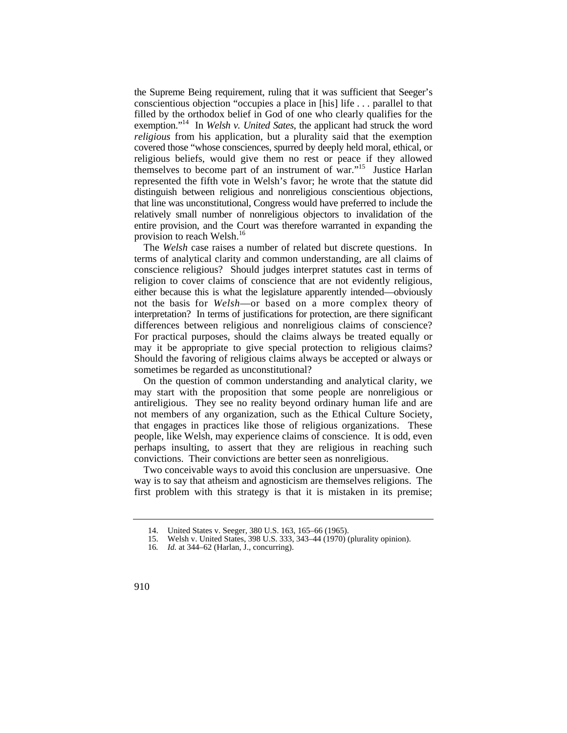exemption."14 In *Welsh v. United Sates*, the applicant had struck the word represented the fifth vote in Welsh's favor; he wrote that the statute did distinguish between religious and nonreligious conscientious objections, relatively small number of nonreligious objectors to invalidation of the the Supreme Being requirement, ruling that it was sufficient that Seeger's conscientious objection "occupies a place in [his] life . . . parallel to that filled by the orthodox belief in God of one who clearly qualifies for the *religious* from his application, but a plurality said that the exemption covered those "whose consciences, spurred by deeply held moral, ethical, or religious beliefs, would give them no rest or peace if they allowed themselves to become part of an instrument of war."15 Justice Harlan that line was unconstitutional, Congress would have preferred to include the entire provision, and the Court was therefore warranted in expanding the provision to reach [Welsh.](https://Welsh.16)<sup>16</sup>

 not the basis for *Welsh*—or based on a more complex theory of differences between religious and nonreligious claims of conscience? For practical purposes, should the claims always be treated equally or For practical purposes, should the claims always be treated equally or The *Welsh* case raises a number of related but discrete questions. In terms of analytical clarity and common understanding, are all claims of conscience religious? Should judges interpret statutes cast in terms of religion to cover claims of conscience that are not evidently religious, either because this is what the legislature apparently intended—obviously interpretation? In terms of justifications for protection, are there significant may it be appropriate to give special protection to religious claims? Should the favoring of religious claims always be accepted or always or sometimes be regarded as unconstitutional?

On the question of common understanding and analytical clarity, we may start with the proposition that some people are nonreligious or antireligious. They see no reality beyond ordinary human life and are not members of any organization, such as the Ethical Culture Society, that engages in practices like those of religious organizations. These people, like Welsh, may experience claims of conscience. It is odd, even perhaps insulting, to assert that they are religious in reaching such convictions. Their convictions are better seen as nonreligious.

Two conceivable ways to avoid this conclusion are unpersuasive. One way is to say that atheism and agnosticism are themselves religions. The first problem with this strategy is that it is mistaken in its premise;

<sup>14.</sup> United States v. Seeger, 380 U.S. 163, 165–66 (1965).

<sup>15.</sup> Welsh v. United States, 398 U.S. 333, 343–44 (1970) (plurality opinion).

<sup>16</sup>*. Id.* at 344–62 (Harlan, J., concurring).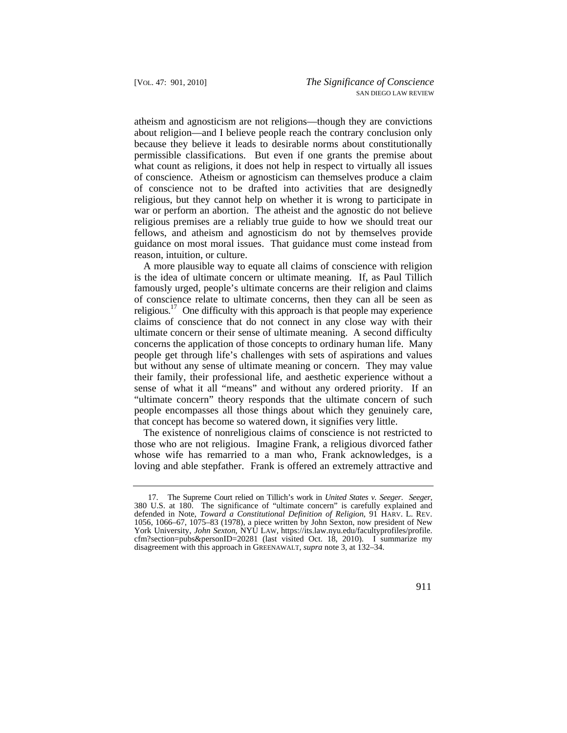atheism and agnosticism are not religions—though they are convictions about religion—and I believe people reach the contrary conclusion only because they believe it leads to desirable norms about constitutionally permissible classifications. But even if one grants the premise about what count as religions, it does not help in respect to virtually all issues of conscience. Atheism or agnosticism can themselves produce a claim of conscience not to be drafted into activities that are designedly religious, but they cannot help on whether it is wrong to participate in war or perform an abortion. The atheist and the agnostic do not believe religious premises are a reliably true guide to how we should treat our fellows, and atheism and agnosticism do not by themselves provide guidance on most moral issues. That guidance must come instead from reason, intuition, or culture.

A more plausible way to equate all claims of conscience with religion is the idea of ultimate concern or ultimate meaning. If, as Paul Tillich famously urged, people's ultimate concerns are their religion and claims of conscience relate to ultimate concerns, then they can all be seen as religious.<sup>17</sup> One difficulty with this approach is that people may experience claims of conscience that do not connect in any close way with their ultimate concern or their sense of ultimate meaning. A second difficulty concerns the application of those concepts to ordinary human life. Many people get through life's challenges with sets of aspirations and values but without any sense of ultimate meaning or concern. They may value their family, their professional life, and aesthetic experience without a sense of what it all "means" and without any ordered priority. If an "ultimate concern" theory responds that the ultimate concern of such people encompasses all those things about which they genuinely care, that concept has become so watered down, it signifies very little.

The existence of nonreligious claims of conscience is not restricted to those who are not religious. Imagine Frank, a religious divorced father whose wife has remarried to a man who, Frank acknowledges, is a loving and able stepfather. Frank is offered an extremely attractive and

 defended in Note, *Toward a Constitutional Definition of Religion*, 91 HARV. L. REV. 1056, 1066–67, 1075–83 (1978), a piece written by John Sexton, now president of New York University, *John Sexton*, NYU LAW, [https://its.law.nyu.edu/facultyprofiles/profile.](https://its.law.nyu.edu/facultyprofiles/profile) 17. The Supreme Court relied on Tillich's work in *United States v. Seeger*. *Seeger*, 380 U.S. at 180. The significance of "ultimate concern" is carefully explained and cfm?section=pubs&personID=20281 (last visited Oct. 18, 2010). I summarize my disagreement with this approach in GREENAWALT, *supra* note 3, at 132–34.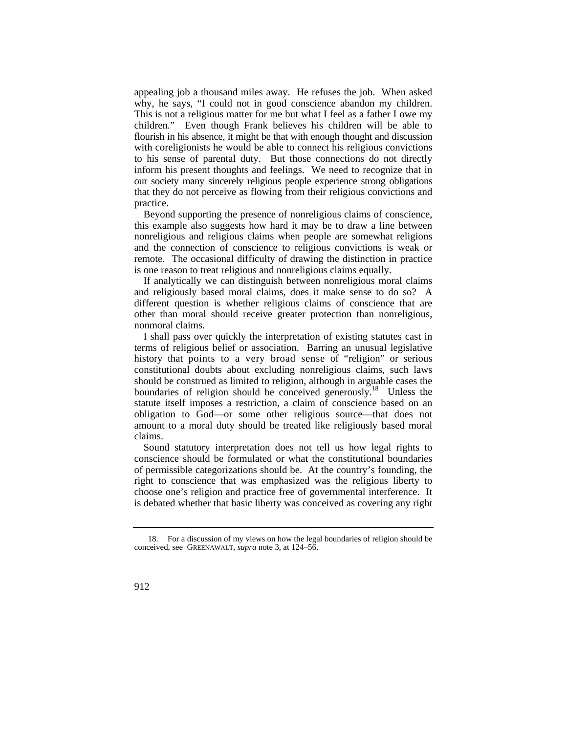appealing job a thousand miles away. He refuses the job. When asked why, he says, "I could not in good conscience abandon my children. This is not a religious matter for me but what I feel as a father I owe my children." Even though Frank believes his children will be able to flourish in his absence, it might be that with enough thought and discussion with coreligionists he would be able to connect his religious convictions to his sense of parental duty. But those connections do not directly inform his present thoughts and feelings. We need to recognize that in our society many sincerely religious people experience strong obligations that they do not perceive as flowing from their religious convictions and practice.

Beyond supporting the presence of nonreligious claims of conscience, this example also suggests how hard it may be to draw a line between nonreligious and religious claims when people are somewhat religions and the connection of conscience to religious convictions is weak or remote. The occasional difficulty of drawing the distinction in practice is one reason to treat religious and nonreligious claims equally.

If analytically we can distinguish between nonreligious moral claims and religiously based moral claims, does it make sense to do so? A different question is whether religious claims of conscience that are other than moral should receive greater protection than nonreligious, nonmoral claims.

 history that points to a very broad sense of "religion" or serious I shall pass over quickly the interpretation of existing statutes cast in terms of religious belief or association. Barring an unusual legislative constitutional doubts about excluding nonreligious claims, such laws should be construed as limited to religion, although in arguable cases the boundaries of religion should be conceived generously.<sup>18</sup> Unless the statute itself imposes a restriction, a claim of conscience based on an obligation to God—or some other religious source—that does not amount to a moral duty should be treated like religiously based moral claims.

Sound statutory interpretation does not tell us how legal rights to conscience should be formulated or what the constitutional boundaries of permissible categorizations should be. At the country's founding, the right to conscience that was emphasized was the religious liberty to choose one's religion and practice free of governmental interference. It is debated whether that basic liberty was conceived as covering any right

<sup>18.</sup> For a discussion of my views on how the legal boundaries of religion should be conceived, see GREENAWALT, *supra* note 3, at 124–56.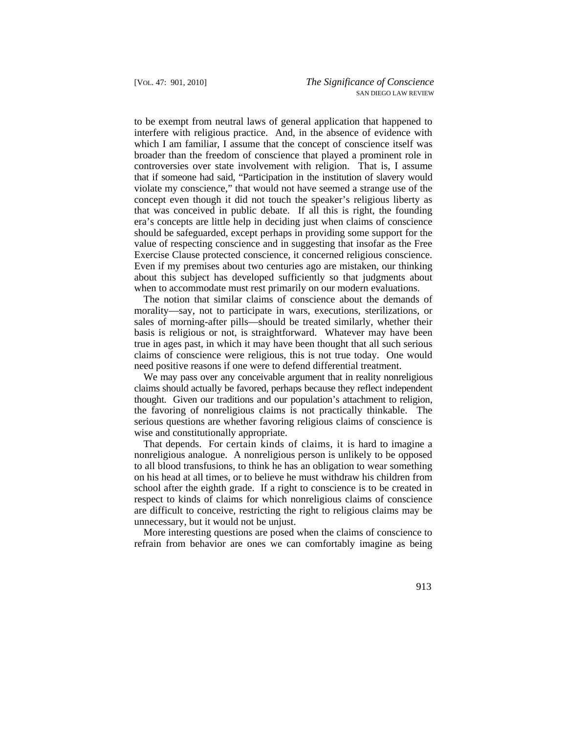Exercise Clause protected conscience, it concerned religious conscience. to be exempt from neutral laws of general application that happened to interfere with religious practice. And, in the absence of evidence with which I am familiar, I assume that the concept of conscience itself was broader than the freedom of conscience that played a prominent role in controversies over state involvement with religion. That is, I assume that if someone had said, "Participation in the institution of slavery would violate my conscience," that would not have seemed a strange use of the concept even though it did not touch the speaker's religious liberty as that was conceived in public debate. If all this is right, the founding era's concepts are little help in deciding just when claims of conscience should be safeguarded, except perhaps in providing some support for the value of respecting conscience and in suggesting that insofar as the Free Even if my premises about two centuries ago are mistaken, our thinking about this subject has developed sufficiently so that judgments about when to accommodate must rest primarily on our modern evaluations.

The notion that similar claims of conscience about the demands of morality—say, not to participate in wars, executions, sterilizations, or sales of morning-after pills—should be treated similarly, whether their basis is religious or not, is straightforward. Whatever may have been true in ages past, in which it may have been thought that all such serious claims of conscience were religious, this is not true today. One would need positive reasons if one were to defend differential treatment.

We may pass over any conceivable argument that in reality nonreligious claims should actually be favored, perhaps because they reflect independent thought. Given our traditions and our population's attachment to religion, the favoring of nonreligious claims is not practically thinkable. The serious questions are whether favoring religious claims of conscience is wise and constitutionally appropriate.

That depends. For certain kinds of claims, it is hard to imagine a nonreligious analogue. A nonreligious person is unlikely to be opposed to all blood transfusions, to think he has an obligation to wear something on his head at all times, or to believe he must withdraw his children from school after the eighth grade. If a right to conscience is to be created in respect to kinds of claims for which nonreligious claims of conscience are difficult to conceive, restricting the right to religious claims may be unnecessary, but it would not be unjust.

More interesting questions are posed when the claims of conscience to refrain from behavior are ones we can comfortably imagine as being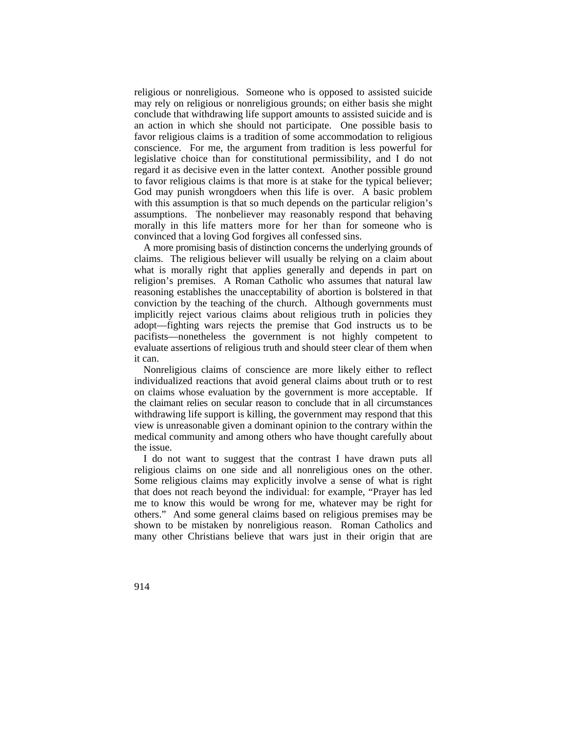morally in this life matters more for her than for someone who is religious or nonreligious. Someone who is opposed to assisted suicide may rely on religious or nonreligious grounds; on either basis she might conclude that withdrawing life support amounts to assisted suicide and is an action in which she should not participate. One possible basis to favor religious claims is a tradition of some accommodation to religious conscience. For me, the argument from tradition is less powerful for legislative choice than for constitutional permissibility, and I do not regard it as decisive even in the latter context. Another possible ground to favor religious claims is that more is at stake for the typical believer; God may punish wrongdoers when this life is over. A basic problem with this assumption is that so much depends on the particular religion's assumptions. The nonbeliever may reasonably respond that behaving convinced that a loving God forgives all confessed sins.

 A more promising basis of distinction concerns the underlying grounds of claims. The religious believer will usually be relying on a claim about what is morally right that applies generally and depends in part on religion's premises. A Roman Catholic who assumes that natural law reasoning establishes the unacceptability of abortion is bolstered in that conviction by the teaching of the church. Although governments must implicitly reject various claims about religious truth in policies they adopt—fighting wars rejects the premise that God instructs us to be pacifists—nonetheless the government is not highly competent to evaluate assertions of religious truth and should steer clear of them when it can.

Nonreligious claims of conscience are more likely either to reflect individualized reactions that avoid general claims about truth or to rest on claims whose evaluation by the government is more acceptable. If the claimant relies on secular reason to conclude that in all circumstances withdrawing life support is killing, the government may respond that this view is unreasonable given a dominant opinion to the contrary within the medical community and among others who have thought carefully about the issue.

 religious claims on one side and all nonreligious ones on the other. Some religious claims may explicitly involve a sense of what is right I do not want to suggest that the contrast I have drawn puts all that does not reach beyond the individual: for example, "Prayer has led me to know this would be wrong for me, whatever may be right for others." And some general claims based on religious premises may be shown to be mistaken by nonreligious reason. Roman Catholics and many other Christians believe that wars just in their origin that are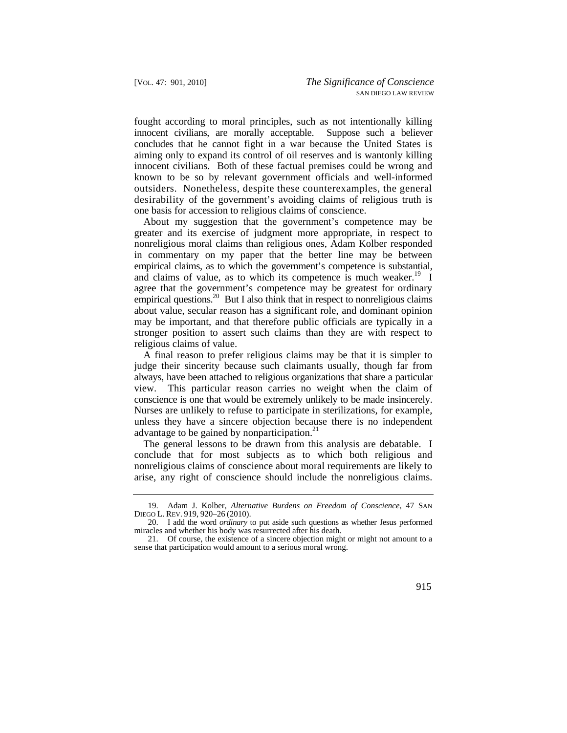fought according to moral principles, such as not intentionally killing innocent civilians, are morally acceptable. Suppose such a believer concludes that he cannot fight in a war because the United States is aiming only to expand its control of oil reserves and is wantonly killing innocent civilians. Both of these factual premises could be wrong and known to be so by relevant government officials and well-informed outsiders. Nonetheless, despite these counterexamples, the general desirability of the government's avoiding claims of religious truth is one basis for accession to religious claims of conscience.

About my suggestion that the government's competence may be greater and its exercise of judgment more appropriate, in respect to nonreligious moral claims than religious ones, Adam Kolber responded in commentary on my paper that the better line may be between empirical claims, as to which the government's competence is substantial, and claims of value, as to which its competence is much weaker.<sup>19</sup> I agree that the government's competence may be greatest for ordinary empirical questions.<sup>20</sup> But I also think that in respect to nonreligious claims about value, secular reason has a significant role, and dominant opinion may be important, and that therefore public officials are typically in a stronger position to assert such claims than they are with respect to religious claims of value.

A final reason to prefer religious claims may be that it is simpler to judge their sincerity because such claimants usually, though far from always, have been attached to religious organizations that share a particular view. This particular reason carries no weight when the claim of conscience is one that would be extremely unlikely to be made insincerely. Nurses are unlikely to refuse to participate in sterilizations, for example, unless they have a sincere objection because there is no independent advantage to be gained by nonparticipation. $2<sup>1</sup>$ 

The general lessons to be drawn from this analysis are debatable. I conclude that for most subjects as to which both religious and nonreligious claims of conscience about moral requirements are likely to arise, any right of conscience should include the nonreligious claims.

 19. Adam J. Kolber, *Alternative Burdens on Freedom of Conscience*, 47 SAN DIEGO L. REV. 919, 920–26 (2010).

<sup>20.</sup> I add the word *ordinary* to put aside such questions as whether Jesus performed miracles and whether his body was resurrected after his death.

<sup>21.</sup> Of course, the existence of a sincere objection might or might not amount to a sense that participation would amount to a serious moral wrong.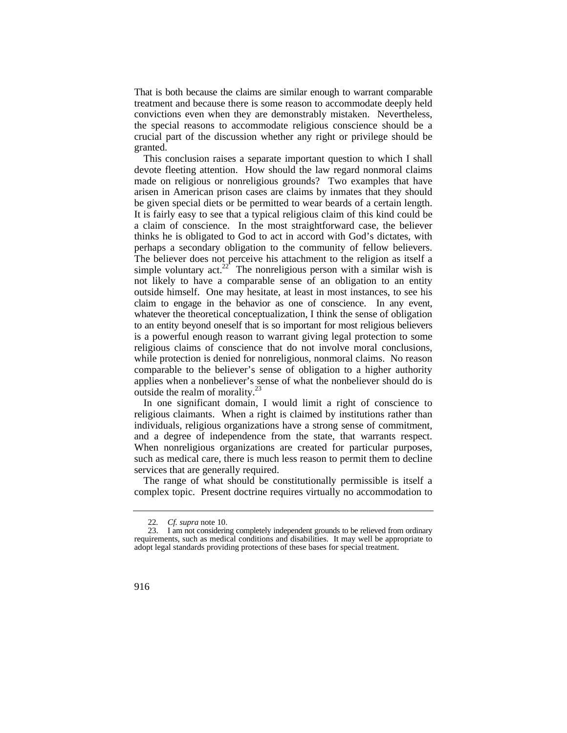That is both because the claims are similar enough to warrant comparable treatment and because there is some reason to accommodate deeply held convictions even when they are demonstrably mistaken. Nevertheless, the special reasons to accommodate religious conscience should be a crucial part of the discussion whether any right or privilege should be granted.

 devote fleeting attention. How should the law regard nonmoral claims This conclusion raises a separate important question to which I shall made on religious or nonreligious grounds? Two examples that have arisen in American prison cases are claims by inmates that they should be given special diets or be permitted to wear beards of a certain length. It is fairly easy to see that a typical religious claim of this kind could be a claim of conscience. In the most straightforward case, the believer thinks he is obligated to God to act in accord with God's dictates, with perhaps a secondary obligation to the community of fellow believers. The believer does not perceive his attachment to the religion as itself a simple voluntary  $\arctan^{22}$  The nonreligious person with a similar wish is not likely to have a comparable sense of an obligation to an entity outside himself. One may hesitate, at least in most instances, to see his claim to engage in the behavior as one of conscience. In any event, whatever the theoretical conceptualization, I think the sense of obligation to an entity beyond oneself that is so important for most religious believers is a powerful enough reason to warrant giving legal protection to some religious claims of conscience that do not involve moral conclusions, while protection is denied for nonreligious, nonmoral claims. No reason comparable to the believer's sense of obligation to a higher authority applies when a nonbeliever's sense of what the nonbeliever should do is outside the realm of morality. $^{23}$ 

and a degree of independence from the state, that warrants respect. In one significant domain, I would limit a right of conscience to religious claimants. When a right is claimed by institutions rather than individuals, religious organizations have a strong sense of commitment, When nonreligious organizations are created for particular purposes, such as medical care, there is much less reason to permit them to decline services that are generally required.

The range of what should be constitutionally permissible is itself a complex topic. Present doctrine requires virtually no accommodation to

<sup>22</sup>*. Cf. supra* note 10.

<sup>23.</sup> I am not considering completely independent grounds to be relieved from ordinary requirements, such as medical conditions and disabilities. It may well be appropriate to adopt legal standards providing protections of these bases for special treatment.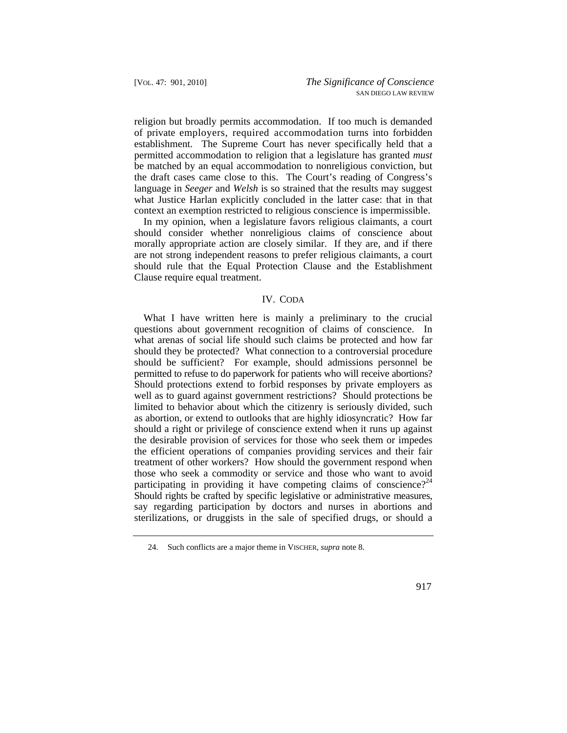of private employers, required accommodation turns into forbidden religion but broadly permits accommodation. If too much is demanded establishment. The Supreme Court has never specifically held that a permitted accommodation to religion that a legislature has granted *must*  be matched by an equal accommodation to nonreligious conviction, but the draft cases came close to this. The Court's reading of Congress's language in *Seeger* and *Welsh* is so strained that the results may suggest what Justice Harlan explicitly concluded in the latter case: that in that context an exemption restricted to religious conscience is impermissible.

In my opinion, when a legislature favors religious claimants, a court should consider whether nonreligious claims of conscience about morally appropriate action are closely similar. If they are, and if there are not strong independent reasons to prefer religious claimants, a court should rule that the Equal Protection Clause and the Establishment Clause require equal treatment.

### IV. CODA

participating in providing it have competing claims of conscience?<sup>24</sup> What I have written here is mainly a preliminary to the crucial questions about government recognition of claims of conscience. In what arenas of social life should such claims be protected and how far should they be protected? What connection to a controversial procedure should be sufficient? For example, should admissions personnel be permitted to refuse to do paperwork for patients who will receive abortions? Should protections extend to forbid responses by private employers as well as to guard against government restrictions? Should protections be limited to behavior about which the citizenry is seriously divided, such as abortion, or extend to outlooks that are highly idiosyncratic? How far should a right or privilege of conscience extend when it runs up against the desirable provision of services for those who seek them or impedes the efficient operations of companies providing services and their fair treatment of other workers? How should the government respond when those who seek a commodity or service and those who want to avoid Should rights be crafted by specific legislative or administrative measures, say regarding participation by doctors and nurses in abortions and sterilizations, or druggists in the sale of specified drugs, or should a

<sup>24.</sup> Such conflicts are a major theme in VISCHER, *supra* note 8.